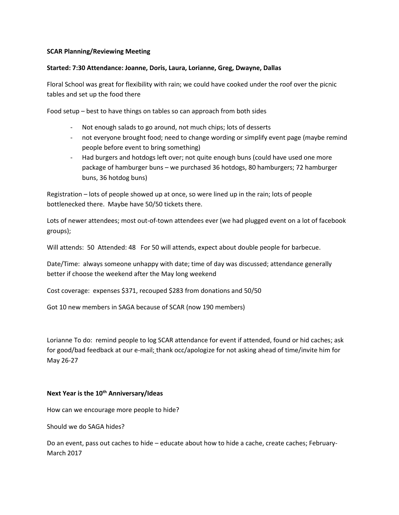## **SCAR Planning/Reviewing Meeting**

## **Started: 7:30 Attendance: Joanne, Doris, Laura, Lorianne, Greg, Dwayne, Dallas**

Floral School was great for flexibility with rain; we could have cooked under the roof over the picnic tables and set up the food there

Food setup – best to have things on tables so can approach from both sides

- Not enough salads to go around, not much chips; lots of desserts
- not everyone brought food; need to change wording or simplify event page (maybe remind people before event to bring something)
- Had burgers and hotdogs left over; not quite enough buns (could have used one more package of hamburger buns – we purchased 36 hotdogs, 80 hamburgers; 72 hamburger buns, 36 hotdog buns)

Registration – lots of people showed up at once, so were lined up in the rain; lots of people bottlenecked there. Maybe have 50/50 tickets there.

Lots of newer attendees; most out-of-town attendees ever (we had plugged event on a lot of facebook groups);

Will attends: 50 Attended: 48 For 50 will attends, expect about double people for barbecue.

Date/Time: always someone unhappy with date; time of day was discussed; attendance generally better if choose the weekend after the May long weekend

Cost coverage: expenses \$371, recouped \$283 from donations and 50/50

Got 10 new members in SAGA because of SCAR (now 190 members)

Lorianne To do: remind people to log SCAR attendance for event if attended, found or hid caches; ask for good/bad feedback at our e-mail; thank occ/apologize for not asking ahead of time/invite him for May 26-27

## **Next Year is the 10th Anniversary/Ideas**

How can we encourage more people to hide?

Should we do SAGA hides?

Do an event, pass out caches to hide – educate about how to hide a cache, create caches; February-March 2017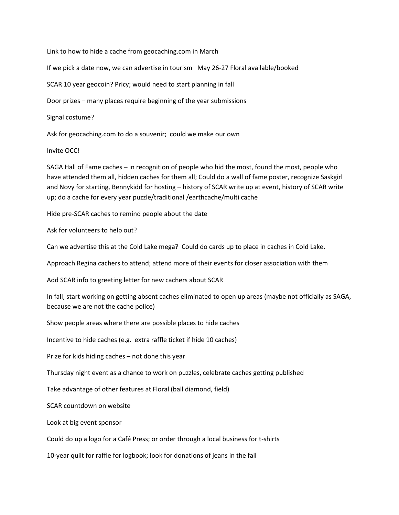Link to how to hide a cache from geocaching.com in March

If we pick a date now, we can advertise in tourism May 26-27 Floral available/booked

SCAR 10 year geocoin? Pricy; would need to start planning in fall

Door prizes – many places require beginning of the year submissions

Signal costume?

Ask for geocaching.com to do a souvenir; could we make our own

Invite OCC!

SAGA Hall of Fame caches – in recognition of people who hid the most, found the most, people who have attended them all, hidden caches for them all; Could do a wall of fame poster, recognize Saskgirl and Novy for starting, Bennykidd for hosting – history of SCAR write up at event, history of SCAR write up; do a cache for every year puzzle/traditional /earthcache/multi cache

Hide pre-SCAR caches to remind people about the date

Ask for volunteers to help out?

Can we advertise this at the Cold Lake mega? Could do cards up to place in caches in Cold Lake.

Approach Regina cachers to attend; attend more of their events for closer association with them

Add SCAR info to greeting letter for new cachers about SCAR

In fall, start working on getting absent caches eliminated to open up areas (maybe not officially as SAGA, because we are not the cache police)

Show people areas where there are possible places to hide caches

Incentive to hide caches (e.g. extra raffle ticket if hide 10 caches)

Prize for kids hiding caches – not done this year

Thursday night event as a chance to work on puzzles, celebrate caches getting published

Take advantage of other features at Floral (ball diamond, field)

SCAR countdown on website

Look at big event sponsor

Could do up a logo for a Café Press; or order through a local business for t-shirts

10-year quilt for raffle for logbook; look for donations of jeans in the fall